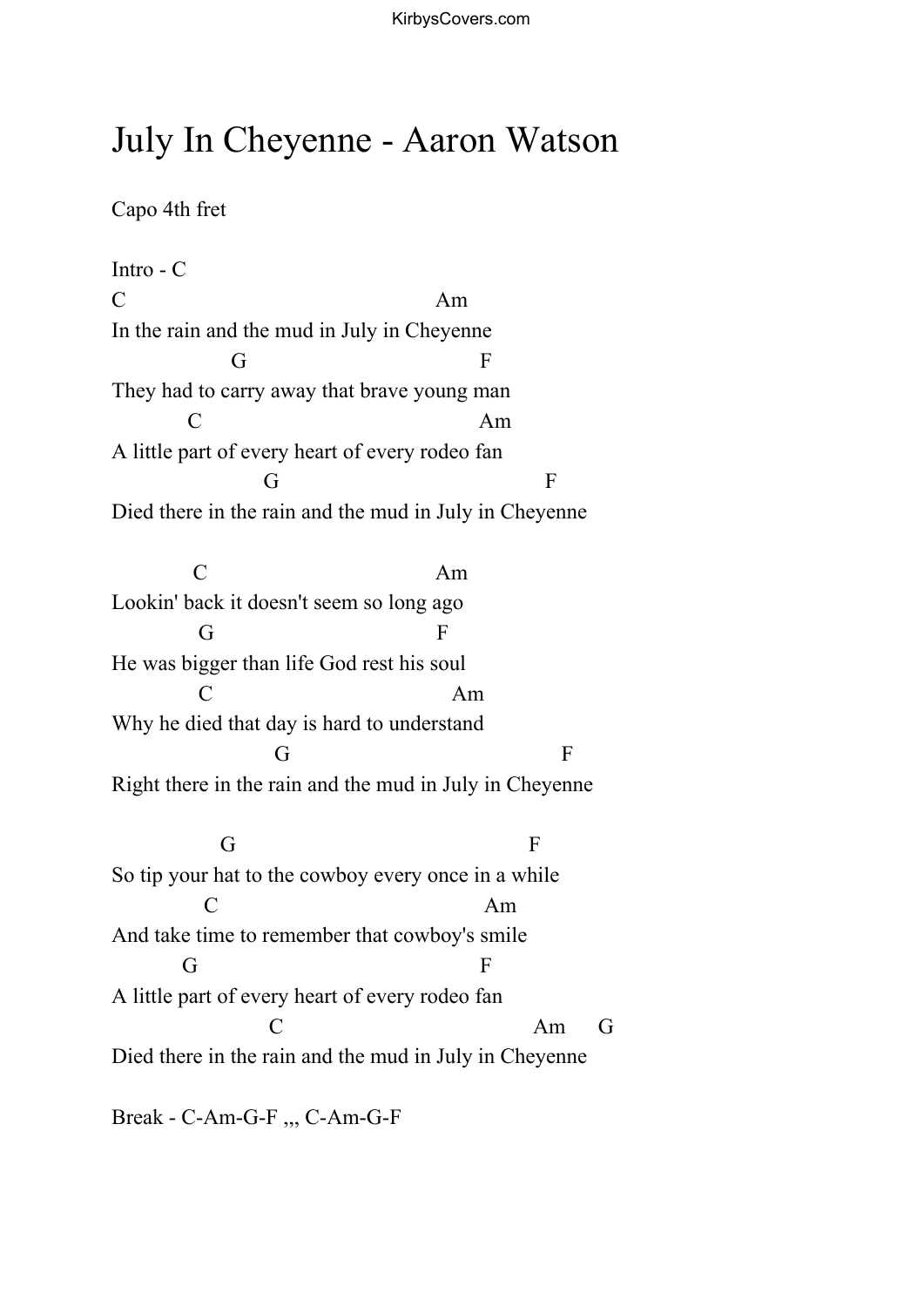## July In Cheyenne - Aaron Watson

Capo 4th fret

Intro - C  $C \hspace{1.5cm} \text{Am}$ In the rain and the mud in July in Cheyenne G F They had to carry away that brave young man C Am A little part of every heart of every rodeo fan G F Died there in the rain and the mud in July in Cheyenne C Am Lookin' back it doesn't seem so long ago G F He was bigger than life God rest his soul C Am Why he died that day is hard to understand G F Right there in the rain and the mud in July in Cheyenne

G  $F$ So tip your hat to the cowboy every once in a while C Am And take time to remember that cowboy's smile G F A little part of every heart of every rodeo fan C Am G Died there in the rain and the mud in July in Cheyenne

Break - C-Am-G-F ,,, C-Am-G-F